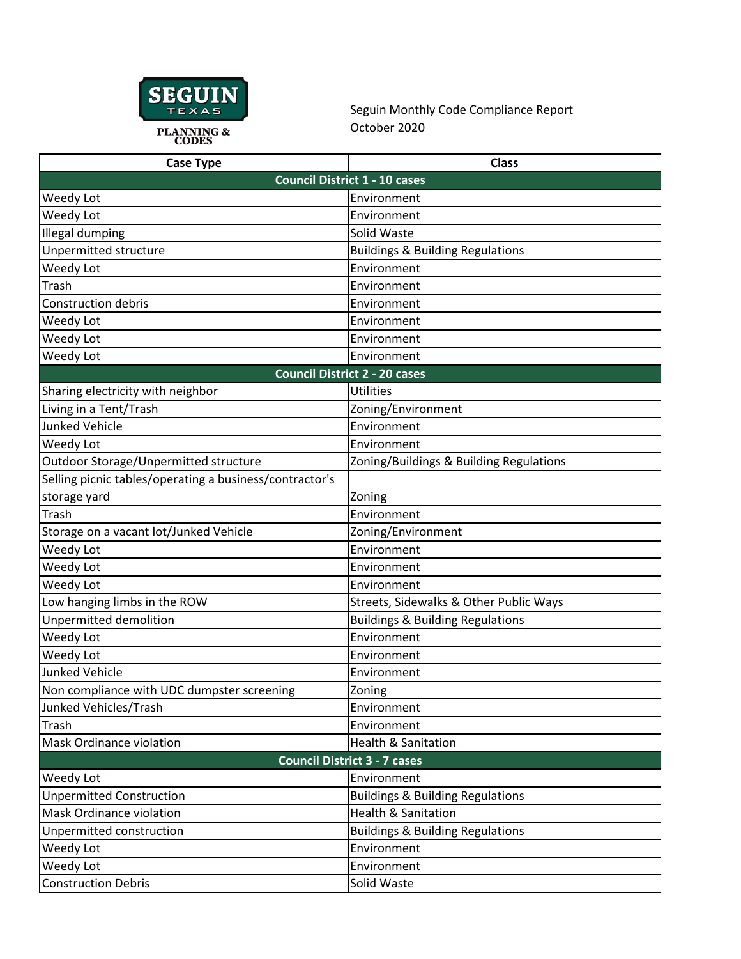

Seguin Monthly Code Compliance Report October 2020

| <b>Case Type</b>                                        | <b>Class</b>                                |
|---------------------------------------------------------|---------------------------------------------|
|                                                         | <b>Council District 1 - 10 cases</b>        |
| Weedy Lot                                               | Environment                                 |
| Weedy Lot                                               | Environment                                 |
| Illegal dumping                                         | Solid Waste                                 |
| Unpermitted structure                                   | <b>Buildings &amp; Building Regulations</b> |
| Weedy Lot                                               | Environment                                 |
| Trash                                                   | Environment                                 |
| <b>Construction debris</b>                              | Environment                                 |
| Weedy Lot                                               | Environment                                 |
| Weedy Lot                                               | Environment                                 |
| Weedy Lot                                               | Environment                                 |
|                                                         | <b>Council District 2 - 20 cases</b>        |
| Sharing electricity with neighbor                       | <b>Utilities</b>                            |
| Living in a Tent/Trash                                  | Zoning/Environment                          |
| <b>Junked Vehicle</b>                                   | Environment                                 |
| Weedy Lot                                               | Environment                                 |
| Outdoor Storage/Unpermitted structure                   | Zoning/Buildings & Building Regulations     |
| Selling picnic tables/operating a business/contractor's |                                             |
| storage yard                                            | Zoning                                      |
| Trash                                                   | Environment                                 |
| Storage on a vacant lot/Junked Vehicle                  | Zoning/Environment                          |
| Weedy Lot                                               | Environment                                 |
| Weedy Lot                                               | Environment                                 |
| Weedy Lot                                               | Environment                                 |
| Low hanging limbs in the ROW                            | Streets, Sidewalks & Other Public Ways      |
| Unpermitted demolition                                  | <b>Buildings &amp; Building Regulations</b> |
| Weedy Lot                                               | Environment                                 |
| Weedy Lot                                               | Environment                                 |
| <b>Junked Vehicle</b>                                   | Environment                                 |
| Non compliance with UDC dumpster screening              | Zoning                                      |
| Junked Vehicles/Trash                                   | Environment                                 |
| Trash                                                   | Environment                                 |
| Mask Ordinance violation                                | <b>Health &amp; Sanitation</b>              |
|                                                         | <b>Council District 3 - 7 cases</b>         |
| Weedy Lot                                               | Environment                                 |
| <b>Unpermitted Construction</b>                         | <b>Buildings &amp; Building Regulations</b> |
| <b>Mask Ordinance violation</b>                         | <b>Health &amp; Sanitation</b>              |
| Unpermitted construction                                | <b>Buildings &amp; Building Regulations</b> |
| Weedy Lot                                               | Environment                                 |
| Weedy Lot                                               | Environment                                 |
| <b>Construction Debris</b>                              | Solid Waste                                 |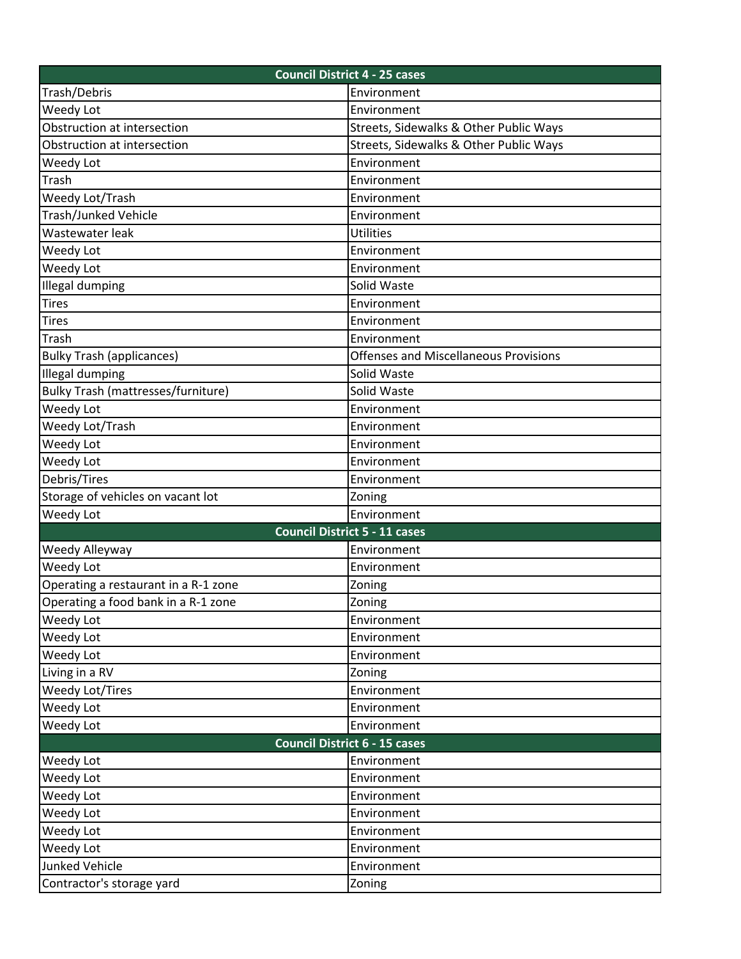| <b>Council District 4 - 25 cases</b>      |                                              |  |
|-------------------------------------------|----------------------------------------------|--|
| Trash/Debris                              | Environment                                  |  |
| Weedy Lot                                 | Environment                                  |  |
| Obstruction at intersection               | Streets, Sidewalks & Other Public Ways       |  |
| Obstruction at intersection               | Streets, Sidewalks & Other Public Ways       |  |
| Weedy Lot                                 | Environment                                  |  |
| Trash                                     | Environment                                  |  |
| Weedy Lot/Trash                           | Environment                                  |  |
| Trash/Junked Vehicle                      | Environment                                  |  |
| Wastewater leak                           | <b>Utilities</b>                             |  |
| Weedy Lot                                 | Environment                                  |  |
| Weedy Lot                                 | Environment                                  |  |
| Illegal dumping                           | Solid Waste                                  |  |
| <b>Tires</b>                              | Environment                                  |  |
| <b>Tires</b>                              | Environment                                  |  |
| Trash                                     | Environment                                  |  |
| <b>Bulky Trash (applicances)</b>          | <b>Offenses and Miscellaneous Provisions</b> |  |
| <b>Illegal dumping</b>                    | Solid Waste                                  |  |
| <b>Bulky Trash (mattresses/furniture)</b> | Solid Waste                                  |  |
| Weedy Lot                                 | Environment                                  |  |
| Weedy Lot/Trash                           | Environment                                  |  |
| Weedy Lot                                 | Environment                                  |  |
| Weedy Lot                                 | Environment                                  |  |
| Debris/Tires                              | Environment                                  |  |
| Storage of vehicles on vacant lot         | Zoning                                       |  |
| Weedy Lot                                 | Environment                                  |  |
|                                           | <b>Council District 5 - 11 cases</b>         |  |
| Weedy Alleyway                            | Environment                                  |  |
| Weedy Lot                                 | Environment                                  |  |
| Operating a restaurant in a R-1 zone      | Zoning                                       |  |
| Operating a food bank in a R-1 zone       | Zoning                                       |  |
| Weedy Lot                                 | Environment                                  |  |
| Weedy Lot                                 | Environment                                  |  |
| Weedy Lot                                 | Environment                                  |  |
| Living in a RV                            | Zoning                                       |  |
| Weedy Lot/Tires                           | Environment                                  |  |
| Weedy Lot                                 | Environment                                  |  |
| Weedy Lot                                 | Environment                                  |  |
|                                           | <b>Council District 6 - 15 cases</b>         |  |
| Weedy Lot                                 | Environment                                  |  |
| Weedy Lot                                 | Environment                                  |  |
| Weedy Lot                                 | Environment                                  |  |
| Weedy Lot                                 | Environment                                  |  |
| Weedy Lot                                 | Environment                                  |  |
| Weedy Lot                                 | Environment                                  |  |
| Junked Vehicle                            | Environment                                  |  |
| Contractor's storage yard                 | Zoning                                       |  |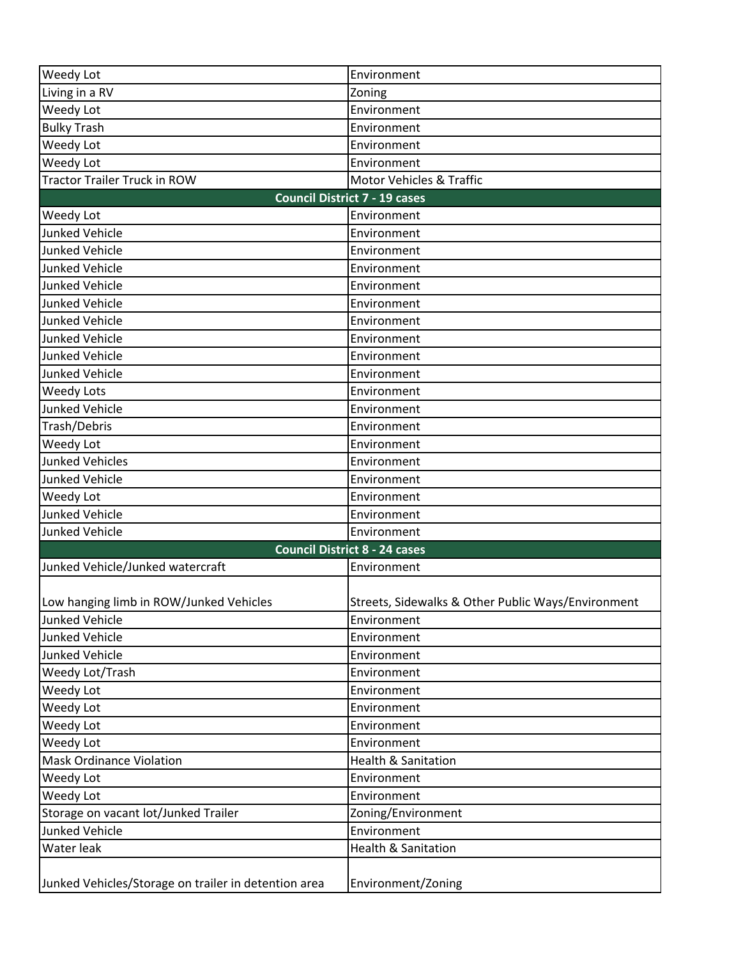| <b>Weedy Lot</b>                                     | Environment                                        |  |
|------------------------------------------------------|----------------------------------------------------|--|
| Living in a RV                                       | Zoning                                             |  |
| Weedy Lot                                            | Environment                                        |  |
| <b>Bulky Trash</b>                                   | Environment                                        |  |
| Weedy Lot                                            | Environment                                        |  |
| Weedy Lot                                            | Environment                                        |  |
| <b>Tractor Trailer Truck in ROW</b>                  | Motor Vehicles & Traffic                           |  |
| <b>Council District 7 - 19 cases</b>                 |                                                    |  |
| Weedy Lot                                            | Environment                                        |  |
| <b>Junked Vehicle</b>                                | Environment                                        |  |
| Junked Vehicle                                       | Environment                                        |  |
| Junked Vehicle                                       | Environment                                        |  |
| <b>Junked Vehicle</b>                                | Environment                                        |  |
| <b>Junked Vehicle</b>                                | Environment                                        |  |
| <b>Junked Vehicle</b>                                | Environment                                        |  |
| <b>Junked Vehicle</b>                                | Environment                                        |  |
| <b>Junked Vehicle</b>                                | Environment                                        |  |
| <b>Junked Vehicle</b>                                | Environment                                        |  |
| <b>Weedy Lots</b>                                    | Environment                                        |  |
| <b>Junked Vehicle</b>                                | Environment                                        |  |
| Trash/Debris                                         | Environment                                        |  |
| Weedy Lot                                            | Environment                                        |  |
| Junked Vehicles                                      | Environment                                        |  |
| Junked Vehicle                                       | Environment                                        |  |
| Weedy Lot                                            | Environment                                        |  |
| <b>Junked Vehicle</b>                                | Environment                                        |  |
| <b>Junked Vehicle</b>                                | Environment                                        |  |
|                                                      | <b>Council District 8 - 24 cases</b>               |  |
| Junked Vehicle/Junked watercraft                     | Environment                                        |  |
|                                                      |                                                    |  |
| Low hanging limb in ROW/Junked Vehicles              | Streets, Sidewalks & Other Public Ways/Environment |  |
| <b>Junked Vehicle</b>                                | Environment                                        |  |
| <b>Junked Vehicle</b>                                | Environment                                        |  |
| <b>Junked Vehicle</b>                                | Environment                                        |  |
| Weedy Lot/Trash                                      | Environment                                        |  |
| Weedy Lot                                            | Environment                                        |  |
| Weedy Lot                                            | Environment                                        |  |
| Weedy Lot                                            | Environment                                        |  |
| Weedy Lot                                            | Environment                                        |  |
| <b>Mask Ordinance Violation</b>                      | <b>Health &amp; Sanitation</b>                     |  |
| Weedy Lot                                            | Environment                                        |  |
| Weedy Lot                                            | Environment                                        |  |
| Storage on vacant lot/Junked Trailer                 | Zoning/Environment                                 |  |
| <b>Junked Vehicle</b>                                | Environment                                        |  |
| Water leak                                           | <b>Health &amp; Sanitation</b>                     |  |
|                                                      |                                                    |  |
| Junked Vehicles/Storage on trailer in detention area | Environment/Zoning                                 |  |